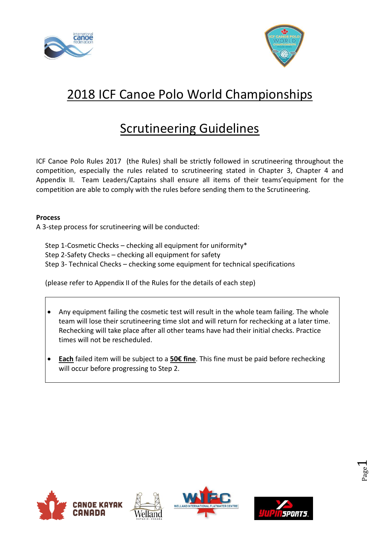



# 2018 ICF Canoe Polo World Championships

## Scrutineering Guidelines

ICF Canoe Polo Rules 2017 (the Rules) shall be strictly followed in scrutineering throughout the competition, especially the rules related to scrutineering stated in Chapter 3, Chapter 4 and Appendix II. Team Leaders/Captains shall ensure all items of their teams'equipment for the competition are able to comply with the rules before sending them to the Scrutineering.

#### **Process**

A 3-step process for scrutineering will be conducted:

Step 1-Cosmetic Checks – checking all equipment for uniformity\* Step 2-Safety Checks – checking all equipment for safety Step 3- Technical Checks – checking some equipment for technical specifications

(please refer to Appendix II of the Rules for the details of each step)

- Any equipment failing the cosmetic test will result in the whole team failing. The whole team will lose their scrutineering time slot and will return for rechecking at a later time. Rechecking will take place after all other teams have had their initial checks. Practice times will not be rescheduled.
- **Each** failed item will be subject to a **50€ fine**. This fine must be paid before rechecking will occur before progressing to Step 2.









Page  $\overline{\phantom{0}}$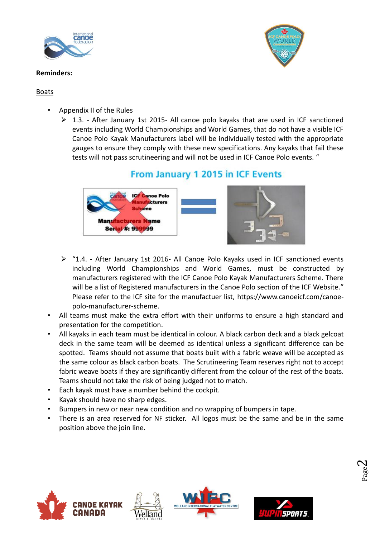

#### **Reminders:**

#### **Boats**

- Appendix II of the Rules
	- $\triangleright$  1.3. After January 1st 2015- All canoe polo kayaks that are used in ICF sanctioned events including World Championships and World Games, that do not have a visible ICF Canoe Polo Kayak Manufacturers label will be individually tested with the appropriate gauges to ensure they comply with these new specifications. Any kayaks that fail these tests will not pass scrutineering and will not be used in ICF Canoe Polo events. "

### From January 1 2015 in ICF Events



- ➢ "1.4. After January 1st 2016- All Canoe Polo Kayaks used in ICF sanctioned events including World Championships and World Games, must be constructed by manufacturers registered with the ICF Canoe Polo Kayak Manufacturers Scheme. There will be a list of Registered manufacturers in the Canoe Polo section of the ICF Website." Please refer to the ICF site for the manufactuer list, [https://www.canoeicf.com/canoe](https://www.canoeicf.com/canoe-polo-manufacturer-scheme)polo-[manufacturer](https://www.canoeicf.com/canoe-polo-manufacturer-scheme)-scheme.
- All teams must make the extra effort with their uniforms to ensure a high standard and presentation for the competition.
- All kayaks in each team must be identical in colour. A black carbon deck and a black gelcoat deck in the same team will be deemed as identical unless a significant difference can be spotted. Teams should not assume that boats built with a fabric weave will be accepted as the same colour as black carbon boats. The Scrutineering Team reserves right not to accept fabric weave boats if they are significantly different from the colour of the rest of the boats. Teams should not take the risk of being judged not to match.
- Each kayak must have a number behind the cockpit.
- Kayak should have no sharp edges.
- Bumpers in new or near new condition and no wrapping of bumpers in tape.
- There is an area reserved for NF sticker. All logos must be the same and be in the same position above the join line.





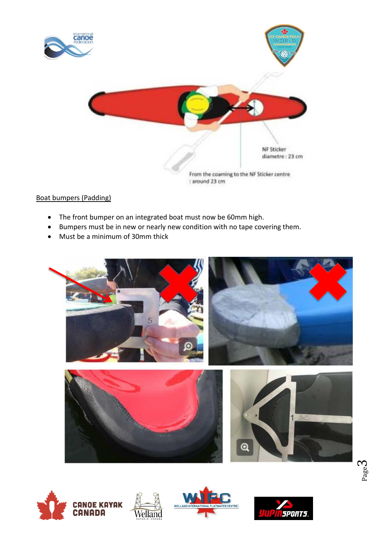

#### Boat bumpers (Padding)

- The front bumper on an integrated boat must now be 60mm high.
- Bumpers must be in new or nearly new condition with no tape covering them.
- Must be a minimum of 30mm thick







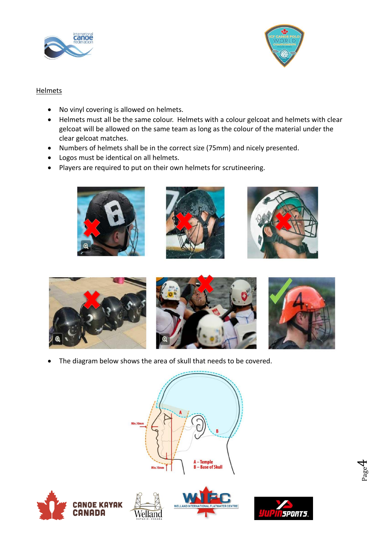



#### **Helmets**

- No vinyl covering is allowed on helmets.
- Helmets must all be the same colour. Helmets with a colour gelcoat and helmets with clear gelcoat will be allowed on the same team as long as the colour of the material under the clear gelcoat matches.
- Numbers of helmets shall be in the correct size (75mm) and nicely presented.
- Logos must be identical on all helmets.
- Players are required to put on their own helmets for scrutineering.













• The diagram below shows the area of skull that needs to be covered.

/elland









Page  $\overline{\mathcal{A}}$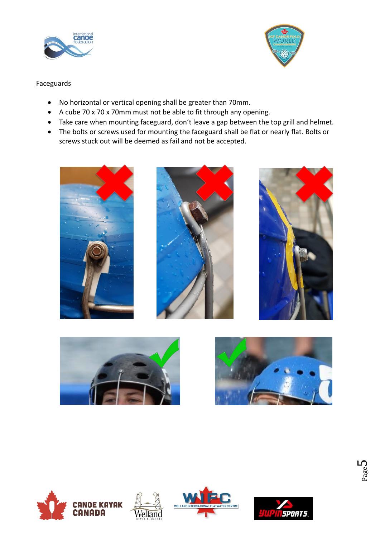



#### **Faceguards**

- No horizontal or vertical opening shall be greater than 70mm.
- A cube 70 x 70 x 70mm must not be able to fit through any opening.
- Take care when mounting faceguard, don't leave a gap between the top grill and helmet.
- The bolts or screws used for mounting the faceguard shall be flat or nearly flat. Bolts or screws stuck out will be deemed as fail and not be accepted.















/elland

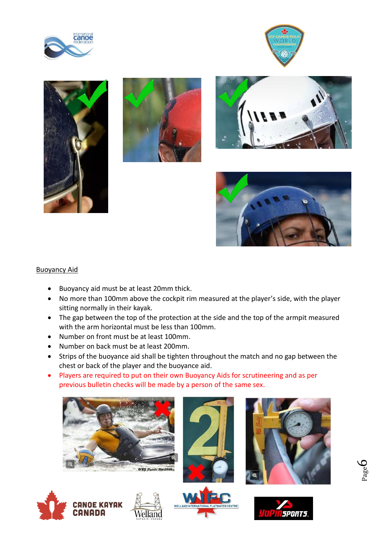











#### Buoyancy Aid

- Buoyancy aid must be at least 20mm thick.
- No more than 100mm above the cockpit rim measured at the player's side, with the player sitting normally in their kayak.
- The gap between the top of the protection at the side and the top of the armpit measured with the arm horizontal must be less than 100mm.
- Number on front must be at least 100mm.
- Number on back must be at least 200mm.
- Strips of the buoyance aid shall be tighten throughout the match and no gap between the chest or back of the player and the buoyance aid.
- Players are required to put on their own Buoyancy Aids for scrutineering and as per previous bulletin checks will be made by a person of the same sex.